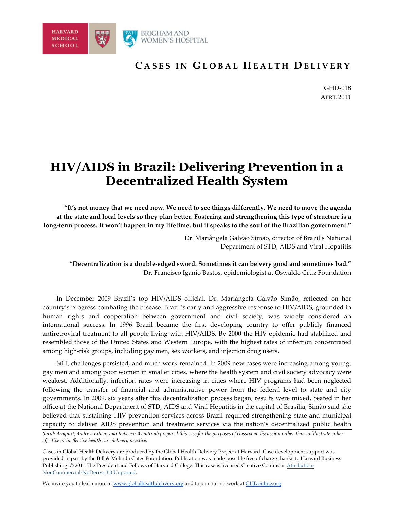

### **C ASES IN G LOBAL H EALTH D ELIVERY**

GHD-018 APRIL 2011

# **HIV/AIDS in Brazil: Delivering Prevention in a Decentralized Health System**

**"It's not money that we need now. We need to see things differently. We need to move the agenda at the state and local levels so they plan better. Fostering and strengthening this type of structure is a long-term process. It won't happen in my lifetime, but it speaks to the soul of the Brazilian government."**

> Dr. Mariângela Galvão Simão, director of Brazil's National Department of STD, AIDS and Viral Hepatitis

"**Decentralization is a double-edged sword. Sometimes it can be very good and sometimes bad."** Dr. Francisco Iganio Bastos, epidemiologist at Oswaldo Cruz Foundation

In December 2009 Brazil's top HIV/AIDS official, Dr. Mariângela Galvão Simão, reflected on her country's progress combating the disease. Brazil's early and aggressive response to HIV/AIDS, grounded in human rights and cooperation between government and civil society, was widely considered an international success. In 1996 Brazil became the first developing country to offer publicly financed antiretroviral treatment to all people living with HIV/AIDS. By 2000 the HIV epidemic had stabilized and resembled those of the United States and Western Europe, with the highest rates of infection concentrated among high-risk groups, including gay men, sex workers, and injection drug users.

Still, challenges persisted, and much work remained. In 2009 new cases were increasing among young, gay men and among poor women in smaller cities, where the health system and civil society advocacy were weakest. Additionally, infection rates were increasing in cities where HIV programs had been neglected following the transfer of financial and administrative power from the federal level to state and city governments. In 2009, six years after this decentralization process began, results were mixed. Seated in her office at the National Department of STD, AIDS and Viral Hepatitis in the capital of Brasilia, Simão said she believed that sustaining HIV prevention services across Brazil required strengthening state and municipal capacity to deliver AIDS prevention and treatment services via the nation's decentralized public health

*Sarah Arnquist, Andrew Ellner, and Rebecca Weintraub prepared this case for the purposes of classroom discussion rather than to illustrate either effective or ineffective health care delivery practice.* 

Cases in Global Health Delivery are produced by the Global Health Delivery Project at Harvard. Case development *s*upport was provided in part by the Bill & Melinda Gates Foundation. Publication was made possible free of charge thanks to Harvard Business Publishing. © 2011 The President and Fellows of Harvard College. This case is licensed Creative Commons Attribution-NonCommercial-NoDerivs 3.0 Unported.

We invite you to learn more at www.globalhealthdelivery.org and to join our network at GHDonline.org.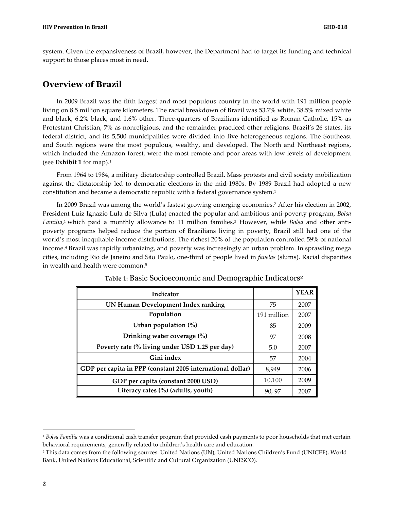system. Given the expansiveness of Brazil, however, the Department had to target its funding and technical support to those places most in need.

### **Overview of Brazil**

In 2009 Brazil was the fifth largest and most populous country in the world with 191 million people living on 8.5 million square kilometers. The racial breakdown of Brazil was 53.7% white, 38.5% mixed white and black, 6.2% black, and 1.6% other. Three-quarters of Brazilians identified as Roman Catholic, 15% as Protestant Christian, 7% as nonreligious, and the remainder practiced other religions. Brazil's 26 states, its federal district, and its 5,500 municipalities were divided into five heterogeneous regions. The Southeast and South regions were the most populous, wealthy, and developed. The North and Northeast regions, which included the Amazon forest, were the most remote and poor areas with low levels of development (see **Exhibit 1** for map).1

From 1964 to 1984, a military dictatorship controlled Brazil. Mass protests and civil society mobilization against the dictatorship led to democratic elections in the mid-1980s. By 1989 Brazil had adopted a new constitution and became a democratic republic with a federal governance system.1

In 2009 Brazil was among the world's fastest growing emerging economies.2 After his election in 2002, President Luiz Ignazio Lula de Silva (Lula) enacted the popular and ambitious anti-poverty program, *Bolsa Familia*,1 which paid a monthly allowance to 11 million families.3 However, while *Bolsa* and other antipoverty programs helped reduce the portion of Brazilians living in poverty, Brazil still had one of the world's most inequitable income distributions. The richest 20% of the population controlled 59% of national income.4 Brazil was rapidly urbanizing, and poverty was increasingly an urban problem. In sprawling mega cities, including Rio de Janeiro and São Paulo, one-third of people lived in *favelas* (slums). Racial disparities in wealth and health were common.5

| Indicator                                                  |             | <b>YEAR</b> |
|------------------------------------------------------------|-------------|-------------|
| UN Human Development Index ranking                         | 75          | 2007        |
| Population                                                 | 191 million | 2007        |
| Urban population $(\%)$                                    | 85          | 2009        |
| Drinking water coverage (%)                                | 97          | 2008        |
| Poverty rate (% living under USD 1.25 per day)             | 5.0         | 2007        |
| Gini index                                                 | .57         | 2004        |
| GDP per capita in PPP (constant 2005 international dollar) | 8,949       | 2006        |
| GDP per capita (constant 2000 USD)                         | 10,100      | 2009        |
| Literacy rates (%) (adults, youth)                         | 90, 97      | 2007        |

#### **Table 1:** Basic Socioeconomic and Demographic Indicators2

 $\overline{a}$ 

<sup>1</sup> *Bolsa Familia* was a conditional cash transfer program that provided cash payments to poor households that met certain behavioral requirements, generally related to children's health care and education.

<sup>2</sup> This data comes from the following sources: United Nations (UN), United Nations Children's Fund (UNICEF), World Bank, United Nations Educational, Scientific and Cultural Organization (UNESCO).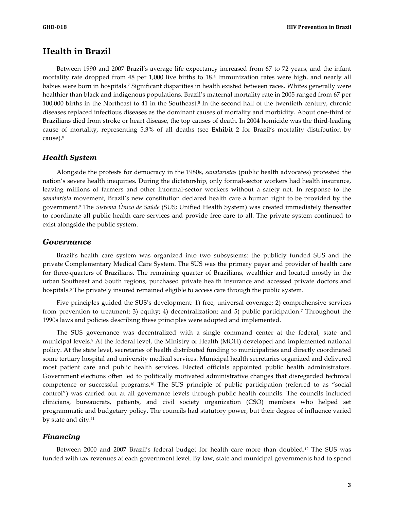### **Health in Brazil**

Between 1990 and 2007 Brazil's average life expectancy increased from 67 to 72 years, and the infant mortality rate dropped from 48 per 1,000 live births to 18.<sup>6</sup> Immunization rates were high, and nearly all babies were born in hospitals.7 Significant disparities in health existed between races. Whites generally were healthier than black and indigenous populations. Brazil's maternal mortality rate in 2005 ranged from 67 per 100,000 births in the Northeast to 41 in the Southeast.8 In the second half of the twentieth century, chronic diseases replaced infectious diseases as the dominant causes of mortality and morbidity. About one-third of Brazilians died from stroke or heart disease, the top causes of death. In 2004 homicide was the third-leading cause of mortality, representing 5.3% of all deaths (see **Exhibit 2** for Brazil's mortality distribution by cause).8

#### *Health System*

Alongside the protests for democracy in the 1980s, *sanataristas* (public health advocates) protested the nation's severe health inequities. During the dictatorship, only formal-sector workers had health insurance, leaving millions of farmers and other informal-sector workers without a safety net. In response to the *sanatarista* movement, Brazil's new constitution declared health care a human right to be provided by the government.9 The *Sistema Único de Saúde* (SUS; Unified Health System) was created immediately thereafter to coordinate all public health care services and provide free care to all. The private system continued to exist alongside the public system.

#### *Governance*

Brazil's health care system was organized into two subsystems: the publicly funded SUS and the private Complementary Medical Care System. The SUS was the primary payer and provider of health care for three-quarters of Brazilians. The remaining quarter of Brazilians, wealthier and located mostly in the urban Southeast and South regions, purchased private health insurance and accessed private doctors and hospitals.<sup>5</sup> The privately insured remained eligible to access care through the public system.

Five principles guided the SUS's development: 1) free, universal coverage; 2) comprehensive services from prevention to treatment; 3) equity; 4) decentralization; and 5) public participation.7 Throughout the 1990s laws and policies describing these principles were adopted and implemented.

The SUS governance was decentralized with a single command center at the federal, state and municipal levels.9 At the federal level, the Ministry of Health (MOH) developed and implemented national policy. At the state level, secretaries of health distributed funding to municipalities and directly coordinated some tertiary hospital and university medical services. Municipal health secretaries organized and delivered most patient care and public health services. Elected officials appointed public health administrators. Government elections often led to politically motivated administrative changes that disregarded technical competence or successful programs.10 The SUS principle of public participation (referred to as "social control") was carried out at all governance levels through public health councils. The councils included clinicians, bureaucrats, patients, and civil society organization (CSO) members who helped set programmatic and budgetary policy. The councils had statutory power, but their degree of influence varied by state and city.11

#### *Financing*

Between 2000 and 2007 Brazil's federal budget for health care more than doubled.12 The SUS was funded with tax revenues at each government level. By law, state and municipal governments had to spend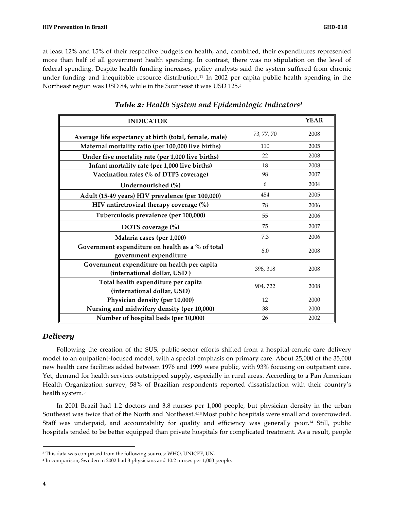at least 12% and 15% of their respective budgets on health, and, combined, their expenditures represented more than half of all government health spending. In contrast, there was no stipulation on the level of federal spending. Despite health funding increases, policy analysts said the system suffered from chronic under funding and inequitable resource distribution.<sup>11</sup> In 2002 per capita public health spending in the Northeast region was USD 84, while in the Southeast it was USD 125.5

| <b>INDICATOR</b>                                                           |            | <b>YEAR</b> |
|----------------------------------------------------------------------------|------------|-------------|
| Average life expectancy at birth (total, female, male)                     | 73, 77, 70 | 2008        |
| Maternal mortality ratio (per 100,000 live births)                         | 110        | 2005        |
| Under five mortality rate (per 1,000 live births)                          | 22         | 2008        |
| Infant mortality rate (per 1,000 live births)                              | 18         | 2008        |
| Vaccination rates (% of DTP3 coverage)                                     | 98         | 2007        |
| Undernourished (%)                                                         | 6          | 2004        |
| Adult (15-49 years) HIV prevalence (per 100,000)                           | 454        | 2005        |
| HIV antiretroviral therapy coverage $(\%)$                                 | 78         | 2006        |
| Tuberculosis prevalence (per 100,000)                                      | 55         | 2006        |
| DOTS coverage (%)                                                          | 75         | 2007        |
| Malaria cases (per 1,000)                                                  | 7.3        | 2006        |
| Government expenditure on health as a % of total<br>government expenditure | 6.0        | 2008        |
| Government expenditure on health per capita<br>(international dollar, USD) | 398, 318   | 2008        |
| Total health expenditure per capita<br>(international dollar, USD)         | 904, 722   | 2008        |
| Physician density (per 10,000)                                             | 12         | 2000        |
| Nursing and midwifery density (per 10,000)                                 | 38         | 2000        |
| Number of hospital beds (per 10,000)                                       | 26         | 2002        |

### *Table 2: Health System and Epidemiologic Indicators3*

#### *Delivery*

Following the creation of the SUS, public-sector efforts shifted from a hospital-centric care delivery model to an outpatient-focused model, with a special emphasis on primary care. About 25,000 of the 35,000 new health care facilities added between 1976 and 1999 were public, with 93% focusing on outpatient care. Yet, demand for health services outstripped supply, especially in rural areas. According to a Pan American Health Organization survey, 58% of Brazilian respondents reported dissatisfaction with their country's health system.5

In 2001 Brazil had 1.2 doctors and 3.8 nurses per 1,000 people, but physician density in the urban Southeast was twice that of the North and Northeast.<sup>4,13</sup>Most public hospitals were small and overcrowded. Staff was underpaid, and accountability for quality and efficiency was generally poor.14 Still, public hospitals tended to be better equipped than private hospitals for complicated treatment. As a result, people

 $\overline{a}$ 

<sup>&</sup>lt;sup>3</sup> This data was comprised from the following sources: WHO, UNICEF, UN.

<sup>4</sup> In comparison, Sweden in 2002 had 3 physicians and 10.2 nurses per 1,000 people.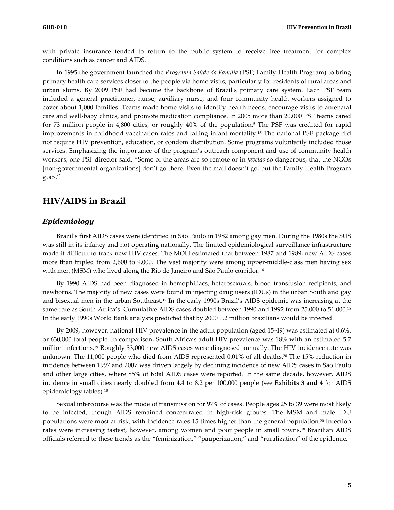with private insurance tended to return to the public system to receive free treatment for complex conditions such as cancer and AIDS.

In 1995 the government launched the *Programa Saúde da Família (*PSF; Family Health Program) to bring primary health care services closer to the people via home visits, particularly for residents of rural areas and urban slums. By 2009 PSF had become the backbone of Brazil's primary care system. Each PSF team included a general practitioner, nurse, auxiliary nurse, and four community health workers assigned to cover about 1,000 families. Teams made home visits to identify health needs, encourage visits to antenatal care and well-baby clinics, and promote medication compliance. In 2005 more than 20,000 PSF teams cared for 73 million people in 4,800 cities, or roughly 40% of the population.5 The PSF was credited for rapid improvements in childhood vaccination rates and falling infant mortality.15 The national PSF package did not require HIV prevention, education, or condom distribution. Some programs voluntarily included those services. Emphasizing the importance of the program's outreach component and use of community health workers, one PSF director said, "Some of the areas are so remote or in *favelas* so dangerous, that the NGOs [non-governmental organizations] don't go there. Even the mail doesn't go, but the Family Health Program goes."

### **HIV/AIDS in Brazil**

#### *Epidemiology*

Brazil's first AIDS cases were identified in São Paulo in 1982 among gay men. During the 1980s the SUS was still in its infancy and not operating nationally. The limited epidemiological surveillance infrastructure made it difficult to track new HIV cases. The MOH estimated that between 1987 and 1989, new AIDS cases more than tripled from 2,600 to 9,000. The vast majority were among upper-middle-class men having sex with men (MSM) who lived along the Rio de Janeiro and São Paulo corridor.<sup>16</sup>

By 1990 AIDS had been diagnosed in hemophiliacs, heterosexuals, blood transfusion recipients, and newborns. The majority of new cases were found in injecting drug users (IDUs) in the urban South and gay and bisexual men in the urban Southeast.17 In the early 1990s Brazil's AIDS epidemic was increasing at the same rate as South Africa's. Cumulative AIDS cases doubled between 1990 and 1992 from 25,000 to 51,000.18 In the early 1990s World Bank analysts predicted that by 2000 1.2 million Brazilians would be infected.

By 2009, however, national HIV prevalence in the adult population (aged 15-49) was estimated at 0.6%, or 630,000 total people. In comparison, South Africa's adult HIV prevalence was 18% with an estimated 5.7 million infections.19 Roughly 33,000 new AIDS cases were diagnosed annually. The HIV incidence rate was unknown. The 11,000 people who died from AIDS represented 0.01% of all deaths.20 The 15% reduction in incidence between 1997 and 2007 was driven largely by declining incidence of new AIDS cases in São Paulo and other large cities, where 85% of total AIDS cases were reported. In the same decade, however, AIDS incidence in small cities nearly doubled from 4.4 to 8.2 per 100,000 people (see **Exhibits 3 and 4** for AIDS epidemiology tables).18

Sexual intercourse was the mode of transmission for 97% of cases. People ages 25 to 39 were most likely to be infected, though AIDS remained concentrated in high-risk groups. The MSM and male IDU populations were most at risk, with incidence rates 15 times higher than the general population.<sup>20</sup> Infection rates were increasing fastest, however, among women and poor people in small towns.18 Brazilian AIDS officials referred to these trends as the "feminization," "pauperization," and "ruralization" of the epidemic.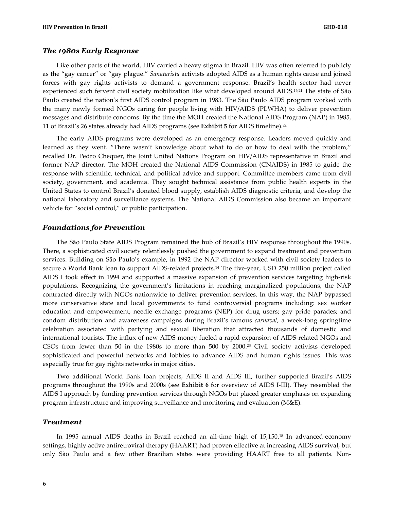#### *The 1980s Early Response*

Like other parts of the world, HIV carried a heavy stigma in Brazil. HIV was often referred to publicly as the "gay cancer" or "gay plague." *Sanatarista* activists adopted AIDS as a human rights cause and joined forces with gay rights activists to demand a government response. Brazil's health sector had never experienced such fervent civil society mobilization like what developed around AIDS.16,21 The state of São Paulo created the nation's first AIDS control program in 1983. The São Paulo AIDS program worked with the many newly formed NGOs caring for people living with HIV/AIDS (PLWHA) to deliver prevention messages and distribute condoms. By the time the MOH created the National AIDS Program (NAP) in 1985, 11 of Brazil's 26 states already had AIDS programs (see **Exhibit 5** for AIDS timeline).22

The early AIDS programs were developed as an emergency response. Leaders moved quickly and learned as they went. "There wasn't knowledge about what to do or how to deal with the problem," recalled Dr. Pedro Chequer, the Joint United Nations Program on HIV/AIDS representative in Brazil and former NAP director. The MOH created the National AIDS Commission (CNAIDS) in 1985 to guide the response with scientific, technical, and political advice and support. Committee members came from civil society, government, and academia. They sought technical assistance from public health experts in the United States to control Brazil's donated blood supply, establish AIDS diagnostic criteria, and develop the national laboratory and surveillance systems. The National AIDS Commission also became an important vehicle for "social control," or public participation.

#### *Foundations for Prevention*

The São Paulo State AIDS Program remained the hub of Brazil's HIV response throughout the 1990s. There, a sophisticated civil society relentlessly pushed the government to expand treatment and prevention services. Building on São Paulo's example, in 1992 the NAP director worked with civil society leaders to secure a World Bank loan to support AIDS-related projects.14 The five-year, USD 250 million project called AIDS I took effect in 1994 and supported a massive expansion of prevention services targeting high-risk populations. Recognizing the government's limitations in reaching marginalized populations, the NAP contracted directly with NGOs nationwide to deliver prevention services. In this way, the NAP bypassed more conservative state and local governments to fund controversial programs including: sex worker education and empowerment; needle exchange programs (NEP) for drug users; gay pride parades; and condom distribution and awareness campaigns during Brazil's famous *carnaval*, a week-long springtime celebration associated with partying and sexual liberation that attracted thousands of domestic and international tourists. The influx of new AIDS money fueled a rapid expansion of AIDS-related NGOs and CSOs from fewer than 50 in the 1980s to more than 500 by 2000.23 Civil society activists developed sophisticated and powerful networks and lobbies to advance AIDS and human rights issues. This was especially true for gay rights networks in major cities.

Two additional World Bank loan projects, AIDS II and AIDS III, further supported Brazil's AIDS programs throughout the 1990s and 2000s (see **Exhibit 6** for overview of AIDS I-III). They resembled the AIDS I approach by funding prevention services through NGOs but placed greater emphasis on expanding program infrastructure and improving surveillance and monitoring and evaluation (M&E).

#### *Treatment*

In 1995 annual AIDS deaths in Brazil reached an all-time high of 15,150.18 In advanced-economy settings, highly active antiretroviral therapy (HAART) had proven effective at increasing AIDS survival, but only São Paulo and a few other Brazilian states were providing HAART free to all patients. Non-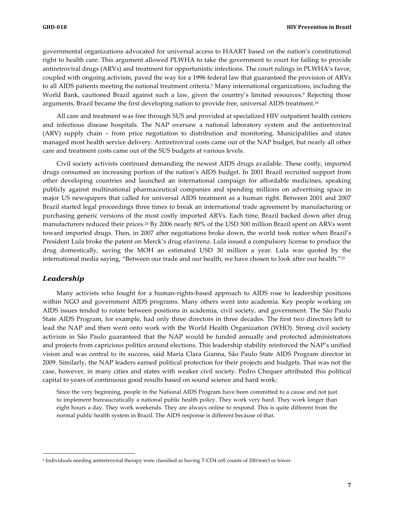governmental organizations advocated for universal access to HAART based on the nation's constitutional right to health care. This argument allowed PLWHA to take the government to court for failing to provide antiretroviral drugs (ARVs) and treatment for opportunistic infections. The court rulings in PLWHA's favor, coupled with ongoing activism, paved the way for a 1996 federal law that guaranteed the provision of ARVs to all AIDS patients meeting the national treatment criteria.5 Many international organizations, including the World Bank, cautioned Brazil against such a law, given the country's limited resources.<sup>9</sup> Rejecting those arguments, Brazil became the first developing nation to provide free, universal AIDS treatment.16

All care and treatment was free through SUS and provided at specialized HIV outpatient health centers and infectious disease hospitals. The NAP oversaw a national laboratory system and the antiretroviral (ARV) supply chain – from price negotiation to distribution and monitoring. Municipalities and states managed most health service delivery. Antiretroviral costs came out of the NAP budget, but nearly all other care and treatment costs came out of the SUS budgets at various levels.

Civil society activists continued demanding the newest AIDS drugs available. These costly, imported drugs consumed an increasing portion of the nation's AIDS budget. In 2001 Brazil recruited support from other developing countries and launched an international campaign for affordable medicines, speaking publicly against multinational pharmaceutical companies and spending millions on advertising space in major US newspapers that called for universal AIDS treatment as a human right. Between 2001 and 2007 Brazil started legal proceedings three times to break an international trade agreement by manufacturing or purchasing generic versions of the most costly imported ARVs. Each time, Brazil backed down after drug manufacturers reduced their prices.24 By 2006 nearly 80% of the USD 500 million Brazil spent on ARVs went toward imported drugs. Then, in 2007 after negotiations broke down, the world took notice when Brazil's President Lula broke the patent on Merck's drug efavirenz. Lula issued a compulsory license to produce the drug domestically, saving the MOH an estimated USD 30 million a year. Lula was quoted by the international media saying, "Between our trade and our health, we have chosen to look after our health."25

#### *Leadership*

 $\overline{a}$ 

Many activists who fought for a human-rights-based approach to AIDS rose to leadership positions within NGO and government AIDS programs. Many others went into academia. Key people working on AIDS issues tended to rotate between positions in academia, civil society, and government. The São Paulo State AIDS Program, for example, had only three directors in three decades. The first two directors left to lead the NAP and then went onto work with the World Health Organization (WHO). Strong civil society activism in São Paulo guaranteed that the NAP would be funded annually and protected administrators and projects from capricious politics around elections. This leadership stability reinforced the NAP's unified vision and was central to its success, said Maria Clara Gianna, São Paulo State AIDS Program director in 2009. Similarly, the NAP leaders earned political protection for their projects and budgets. That was not the case, however, in many cities and states with weaker civil society. Pedro Chequer attributed this political capital to years of continuous good results based on sound science and hard work:

Since the very beginning, people in the National AIDS Program have been committed to a cause and not just to implement bureaucratically a national public health policy. They work very hard. They work longer than eight hours a day. They work weekends. They are always online to respond. This is quite different from the normal public health system in Brazil. The AIDS response is different because of that.

<sup>5</sup> Individuals needing antiretroviral therapy were classified as having T-CD4 cell counts of 200/mm3 or lower.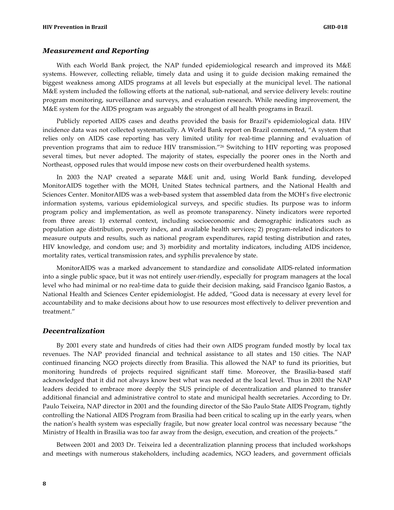#### *Measurement and Reporting*

With each World Bank project, the NAP funded epidemiological research and improved its M&E systems. However, collecting reliable, timely data and using it to guide decision making remained the biggest weakness among AIDS programs at all levels but especially at the municipal level. The national M&E system included the following efforts at the national, sub-national, and service delivery levels: routine program monitoring, surveillance and surveys, and evaluation research. While needing improvement, the M&E system for the AIDS program was arguably the strongest of all health programs in Brazil.

Publicly reported AIDS cases and deaths provided the basis for Brazil's epidemiological data. HIV incidence data was not collected systematically. A World Bank report on Brazil commented, "A system that relies only on AIDS case reporting has very limited utility for real-time planning and evaluation of prevention programs that aim to reduce HIV transmission."26 Switching to HIV reporting was proposed several times, but never adopted. The majority of states, especially the poorer ones in the North and Northeast, opposed rules that would impose new costs on their overburdened health systems.

In 2003 the NAP created a separate M&E unit and, using World Bank funding, developed MonitorAIDS together with the MOH, United States technical partners, and the National Health and Sciences Center. MonitorAIDS was a web-based system that assembled data from the MOH's five electronic information systems, various epidemiological surveys, and specific studies. Its purpose was to inform program policy and implementation, as well as promote transparency. Ninety indicators were reported from three areas: 1) external context, including socioeconomic and demographic indicators such as population age distribution, poverty index, and available health services; 2) program-related indicators to measure outputs and results, such as national program expenditures, rapid testing distribution and rates, HIV knowledge, and condom use; and 3) morbidity and mortality indicators, including AIDS incidence, mortality rates, vertical transmission rates, and syphilis prevalence by state.

MonitorAIDS was a marked advancement to standardize and consolidate AIDS-related information into a single public space, but it was not entirely user-friendly, especially for program managers at the local level who had minimal or no real-time data to guide their decision making, said Francisco Iganio Bastos, a National Health and Sciences Center epidemiologist. He added, "Good data is necessary at every level for accountability and to make decisions about how to use resources most effectively to deliver prevention and treatment."

#### *Decentralization*

By 2001 every state and hundreds of cities had their own AIDS program funded mostly by local tax revenues. The NAP provided financial and technical assistance to all states and 150 cities. The NAP continued financing NGO projects directly from Brasilia. This allowed the NAP to fund its priorities, but monitoring hundreds of projects required significant staff time. Moreover, the Brasilia-based staff acknowledged that it did not always know best what was needed at the local level. Thus in 2001 the NAP leaders decided to embrace more deeply the SUS principle of decentralization and planned to transfer additional financial and administrative control to state and municipal health secretaries. According to Dr. Paulo Teixeira, NAP director in 2001 and the founding director of the São Paulo State AIDS Program, tightly controlling the National AIDS Program from Brasilia had been critical to scaling up in the early years, when the nation's health system was especially fragile, but now greater local control was necessary because "the Ministry of Health in Brasilia was too far away from the design, execution, and creation of the projects."

Between 2001 and 2003 Dr. Teixeira led a decentralization planning process that included workshops and meetings with numerous stakeholders, including academics, NGO leaders, and government officials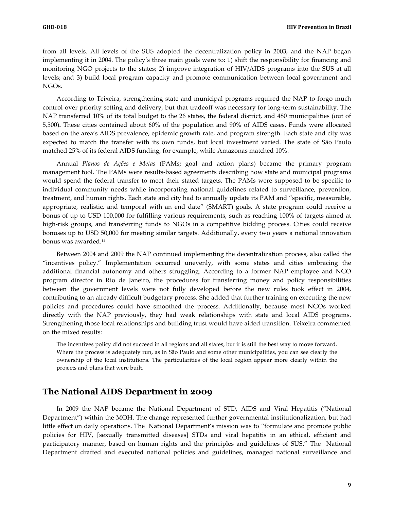from all levels. All levels of the SUS adopted the decentralization policy in 2003, and the NAP began implementing it in 2004. The policy's three main goals were to: 1) shift the responsibility for financing and monitoring NGO projects to the states; 2) improve integration of HIV/AIDS programs into the SUS at all levels; and 3) build local program capacity and promote communication between local government and NGOs.

According to Teixeira, strengthening state and municipal programs required the NAP to forgo much control over priority setting and delivery, but that tradeoff was necessary for long-term sustainability. The NAP transferred 10% of its total budget to the 26 states, the federal district, and 480 municipalities (out of 5,500)**.** These cities contained about 60% of the population and 90% of AIDS cases. Funds were allocated based on the area's AIDS prevalence, epidemic growth rate, and program strength. Each state and city was expected to match the transfer with its own funds, but local investment varied. The state of São Paulo matched 25% of its federal AIDS funding, for example, while Amazonas matched 10%.

Annual *Planos de Ações e Metas* (PAMs; goal and action plans) became the primary program management tool. The PAMs were results-based agreements describing how state and municipal programs would spend the federal transfer to meet their stated targets. The PAMs were supposed to be specific to individual community needs while incorporating national guidelines related to surveillance, prevention, treatment, and human rights. Each state and city had to annually update its PAM and "specific, measurable, appropriate, realistic, and temporal with an end date" (SMART) goals. A state program could receive a bonus of up to USD 100,000 for fulfilling various requirements, such as reaching 100% of targets aimed at high-risk groups, and transferring funds to NGOs in a competitive bidding process. Cities could receive bonuses up to USD 50,000 for meeting similar targets. Additionally, every two years a national innovation bonus was awarded.14

Between 2004 and 2009 the NAP continued implementing the decentralization process, also called the "incentives policy." Implementation occurred unevenly, with some states and cities embracing the additional financial autonomy and others struggling. According to a former NAP employee and NGO program director in Rio de Janeiro, the procedures for transferring money and policy responsibilities between the government levels were not fully developed before the new rules took effect in 2004, contributing to an already difficult budgetary process. She added that further training on executing the new policies and procedures could have smoothed the process. Additionally, because most NGOs worked directly with the NAP previously, they had weak relationships with state and local AIDS programs. Strengthening those local relationships and building trust would have aided transition. Teixeira commented on the mixed results:

The incentives policy did not succeed in all regions and all states, but it is still the best way to move forward. Where the process is adequately run, as in São Paulo and some other municipalities, you can see clearly the ownership of the local institutions. The particularities of the local region appear more clearly within the projects and plans that were built.

### **The National AIDS Department in 2009**

In 2009 the NAP became the National Department of STD, AIDS and Viral Hepatitis ("National Department") within the MOH. The change represented further governmental institutionalization, but had little effect on daily operations. The National Department's mission was to "formulate and promote public policies for HIV, [sexually transmitted diseases] STDs and viral hepatitis in an ethical, efficient and participatory manner, based on human rights and the principles and guidelines of SUS." The National Department drafted and executed national policies and guidelines, managed national surveillance and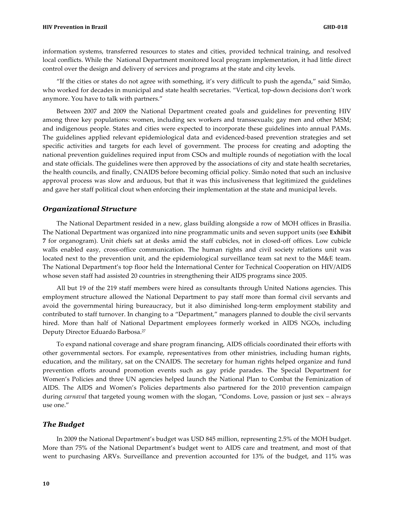information systems, transferred resources to states and cities, provided technical training, and resolved local conflicts. While the National Department monitored local program implementation, it had little direct control over the design and delivery of services and programs at the state and city levels.

"If the cities or states do not agree with something, it's very difficult to push the agenda," said Simão, who worked for decades in municipal and state health secretaries. "Vertical, top-down decisions don't work anymore. You have to talk with partners."

Between 2007 and 2009 the National Department created goals and guidelines for preventing HIV among three key populations: women, including sex workers and transsexuals; gay men and other MSM; and indigenous people. States and cities were expected to incorporate these guidelines into annual PAMs. The guidelines applied relevant epidemiological data and evidenced-based prevention strategies and set specific activities and targets for each level of government. The process for creating and adopting the national prevention guidelines required input from CSOs and multiple rounds of negotiation with the local and state officials. The guidelines were then approved by the associations of city and state health secretaries, the health councils, and finally, CNAIDS before becoming official policy. Simão noted that such an inclusive approval process was slow and arduous, but that it was this inclusiveness that legitimized the guidelines and gave her staff political clout when enforcing their implementation at the state and municipal levels.

#### *Organizational Structure*

The National Department resided in a new, glass building alongside a row of MOH offices in Brasilia. The National Department was organized into nine programmatic units and seven support units (see **Exhibit 7** for organogram). Unit chiefs sat at desks amid the staff cubicles, not in closed-off offices. Low cubicle walls enabled easy, cross-office communication. The human rights and civil society relations unit was located next to the prevention unit, and the epidemiological surveillance team sat next to the M&E team. The National Department's top floor held the International Center for Technical Cooperation on HIV/AIDS whose seven staff had assisted 20 countries in strengthening their AIDS programs since 2005.

All but 19 of the 219 staff members were hired as consultants through United Nations agencies. This employment structure allowed the National Department to pay staff more than formal civil servants and avoid the governmental hiring bureaucracy, but it also diminished long-term employment stability and contributed to staff turnover. In changing to a "Department," managers planned to double the civil servants hired. More than half of National Department employees formerly worked in AIDS NGOs, including Deputy Director Eduardo Barbosa.27

To expand national coverage and share program financing, AIDS officials coordinated their efforts with other governmental sectors. For example, representatives from other ministries, including human rights, education, and the military, sat on the CNAIDS. The secretary for human rights helped organize and fund prevention efforts around promotion events such as gay pride parades. The Special Department for Women's Policies and three UN agencies helped launch the National Plan to Combat the Feminization of AIDS. The AIDS and Women's Policies departments also partnered for the 2010 prevention campaign during *carnaval* that targeted young women with the slogan, "Condoms. Love, passion or just sex – always use one."

#### *The Budget*

In 2009 the National Department's budget was USD 845 million, representing 2.5% of the MOH budget. More than 75% of the National Department's budget went to AIDS care and treatment, and most of that went to purchasing ARVs. Surveillance and prevention accounted for 13% of the budget, and 11% was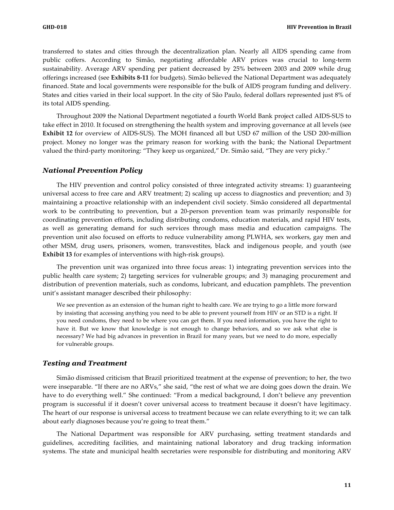transferred to states and cities through the decentralization plan. Nearly all AIDS spending came from public coffers. According to Simão, negotiating affordable ARV prices was crucial to long-term sustainability. Average ARV spending per patient decreased by 25% between 2003 and 2009 while drug offerings increased (see **Exhibits 8-11** for budgets). Simão believed the National Department was adequately financed. State and local governments were responsible for the bulk of AIDS program funding and delivery. States and cities varied in their local support. In the city of São Paulo, federal dollars represented just 8% of its total AIDS spending.

Throughout 2009 the National Department negotiated a fourth World Bank project called AIDS-SUS to take effect in 2010. It focused on strengthening the health system and improving governance at all levels (see **Exhibit 12** for overview of AIDS-SUS). The MOH financed all but USD 67 million of the USD 200-million project. Money no longer was the primary reason for working with the bank; the National Department valued the third-party monitoring: "They keep us organized," Dr. Simão said, "They are very picky."

#### *National Prevention Policy*

The HIV prevention and control policy consisted of three integrated activity streams: 1) guaranteeing universal access to free care and ARV treatment; 2) scaling up access to diagnostics and prevention; and 3) maintaining a proactive relationship with an independent civil society. Simão considered all departmental work to be contributing to prevention, but a 20-person prevention team was primarily responsible for coordinating prevention efforts, including distributing condoms, education materials, and rapid HIV tests, as well as generating demand for such services through mass media and education campaigns. The prevention unit also focused on efforts to reduce vulnerability among PLWHA, sex workers, gay men and other MSM, drug users, prisoners, women, transvestites, black and indigenous people, and youth (see **Exhibit 13** for examples of interventions with high-risk groups).

The prevention unit was organized into three focus areas: 1) integrating prevention services into the public health care system; 2) targeting services for vulnerable groups; and 3) managing procurement and distribution of prevention materials, such as condoms, lubricant, and education pamphlets. The prevention unit's assistant manager described their philosophy:

We see prevention as an extension of the human right to health care. We are trying to go a little more forward by insisting that accessing anything you need to be able to prevent yourself from HIV or an STD is a right. If you need condoms, they need to be where you can get them. If you need information, you have the right to have it. But we know that knowledge is not enough to change behaviors, and so we ask what else is necessary? We had big advances in prevention in Brazil for many years, but we need to do more, especially for vulnerable groups.

#### *Testing and Treatment*

Simão dismissed criticism that Brazil prioritized treatment at the expense of prevention; to her, the two were inseparable. "If there are no ARVs," she said, "the rest of what we are doing goes down the drain. We have to do everything well." She continued: "From a medical background, I don't believe any prevention program is successful if it doesn't cover universal access to treatment because it doesn't have legitimacy. The heart of our response is universal access to treatment because we can relate everything to it; we can talk about early diagnoses because you're going to treat them."

The National Department was responsible for ARV purchasing, setting treatment standards and guidelines, accrediting facilities, and maintaining national laboratory and drug tracking information systems. The state and municipal health secretaries were responsible for distributing and monitoring ARV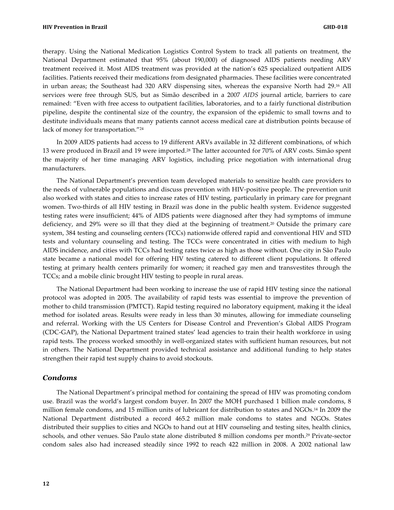therapy. Using the National Medication Logistics Control System to track all patients on treatment, the National Department estimated that 95% (about 190,000) of diagnosed AIDS patients needing ARV treatment received it. Most AIDS treatment was provided at the nation's 625 specialized outpatient AIDS facilities. Patients received their medications from designated pharmacies. These facilities were concentrated in urban areas; the Southeast had 320 ARV dispensing sites, whereas the expansive North had 29.<sup>16</sup> All services were free through SUS, but as Simão described in a 2007 *AIDS* journal article, barriers to care remained: "Even with free access to outpatient facilities, laboratories, and to a fairly functional distribution pipeline, despite the continental size of the country, the expansion of the epidemic to small towns and to destitute individuals means that many patients cannot access medical care at distribution points because of lack of money for transportation."24

In 2009 AIDS patients had access to 19 different ARVs available in 32 different combinations, of which 13 were produced in Brazil and 19 were imported.28 The latter accounted for 70% of ARV costs. Simão spent the majority of her time managing ARV logistics, including price negotiation with international drug manufacturers.

The National Department's prevention team developed materials to sensitize health care providers to the needs of vulnerable populations and discuss prevention with HIV-positive people. The prevention unit also worked with states and cities to increase rates of HIV testing, particularly in primary care for pregnant women. Two-thirds of all HIV testing in Brazil was done in the public health system. Evidence suggested testing rates were insufficient; 44% of AIDS patients were diagnosed after they had symptoms of immune deficiency, and 29% were so ill that they died at the beginning of treatment.20 Outside the primary care system, 384 testing and counseling centers (TCCs) nationwide offered rapid and conventional HIV and STD tests and voluntary counseling and testing. The TCCs were concentrated in cities with medium to high AIDS incidence, and cities with TCCs had testing rates twice as high as those without. One city in São Paulo state became a national model for offering HIV testing catered to different client populations. It offered testing at primary health centers primarily for women; it reached gay men and transvestites through the TCCs; and a mobile clinic brought HIV testing to people in rural areas.

The National Department had been working to increase the use of rapid HIV testing since the national protocol was adopted in 2005. The availability of rapid tests was essential to improve the prevention of mother to child transmission (PMTCT). Rapid testing required no laboratory equipment, making it the ideal method for isolated areas. Results were ready in less than 30 minutes, allowing for immediate counseling and referral. Working with the US Centers for Disease Control and Prevention's Global AIDS Program (CDC-GAP), the National Department trained states' lead agencies to train their health workforce in using rapid tests. The process worked smoothly in well-organized states with sufficient human resources, but not in others. The National Department provided technical assistance and additional funding to help states strengthen their rapid test supply chains to avoid stockouts.

#### *Condoms*

The National Department's principal method for containing the spread of HIV was promoting condom use. Brazil was the world's largest condom buyer. In 2007 the MOH purchased 1 billion male condoms, 8 million female condoms, and 15 million units of lubricant for distribution to states and NGOs.14 In 2009 the National Department distributed a record 465.2 million male condoms to states and NGOs. States distributed their supplies to cities and NGOs to hand out at HIV counseling and testing sites, health clinics, schools, and other venues. São Paulo state alone distributed 8 million condoms per month.29 Private-sector condom sales also had increased steadily since 1992 to reach 422 million in 2008. A 2002 national law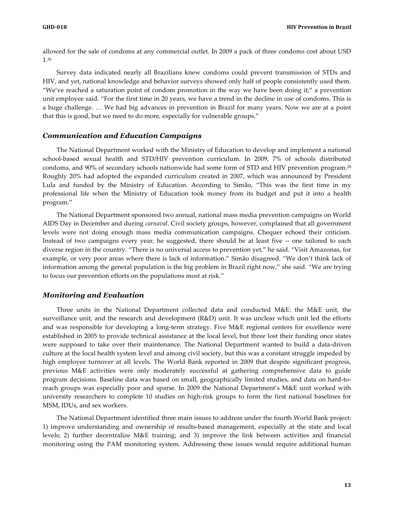allowed for the sale of condoms at any commercial outlet. In 2009 a pack of three condoms cost about USD 1.30

Survey data indicated nearly all Brazilians knew condoms could prevent transmission of STDs and HIV, and yet, national knowledge and behavior surveys showed only half of people consistently used them. "We've reached a saturation point of condom promotion in the way we have been doing it," a prevention unit employee said. "For the first time in 20 years, we have a trend in the decline in use of condoms. This is a huge challenge. … We had big advances in prevention in Brazil for many years. Now we are at a point that this is good, but we need to do more, especially for vulnerable groups."

#### *Communication and Education Campaigns*

The National Department worked with the Ministry of Education to develop and implement a national school-based sexual health and STD/HIV prevention curriculum. In 2009, 7% of schools distributed condoms, and 90% of secondary schools nationwide had some form of STD and HIV prevention program.28 Roughly 20% had adopted the expanded curriculum created in 2007, which was announced by President Lula and funded by the Ministry of Education. According to Simão, "This was the first time in my professional life when the Ministry of Education took money from its budget and put it into a health program."

The National Department sponsored two annual, national mass media prevention campaigns on World AIDS Day in December and during *carnaval*. Civil society groups, however, complained that all government levels were not doing enough mass media communication campaigns. Chequer echoed their criticism. Instead of two campaigns every year, he suggested, there should be at least five -- one tailored to each diverse region in the country. "There is no universal access to prevention yet," he said. "Visit Amazonas, for example, or very poor areas where there is lack of information." Simão disagreed. "We don't think lack of information among the general population is the big problem in Brazil right now," she said. "We are trying to focus our prevention efforts on the populations most at risk."

#### *Monitoring and Evaluation*

Three units in the National Department collected data and conducted M&E: the M&E unit, the surveillance unit, and the research and development (R&D) unit. It was unclear which unit led the efforts and was responsible for developing a long-term strategy. Five M&E regional centers for excellence were established in 2005 to provide technical assistance at the local level, but three lost their funding once states were supposed to take over their maintenance. The National Department wanted to build a data-driven culture at the local health system level and among civil society, but this was a constant struggle impeded by high employee turnover at all levels. The World Bank reported in 2009 that despite significant progress, previous M&E activities were only moderately successful at gathering comprehensive data to guide program decisions. Baseline data was based on small, geographically limited studies, and data on hard-toreach groups was especially poor and sparse. In 2009 the National Department's M&E unit worked with university researchers to complete 10 studies on high-risk groups to form the first national baselines for MSM, IDUs, and sex workers.

The National Department identified three main issues to address under the fourth World Bank project: 1) improve understanding and ownership of results-based management, especially at the state and local levels; 2) further decentralize M&E training; and 3) improve the link between activities and financial monitoring using the PAM monitoring system. Addressing these issues would require additional human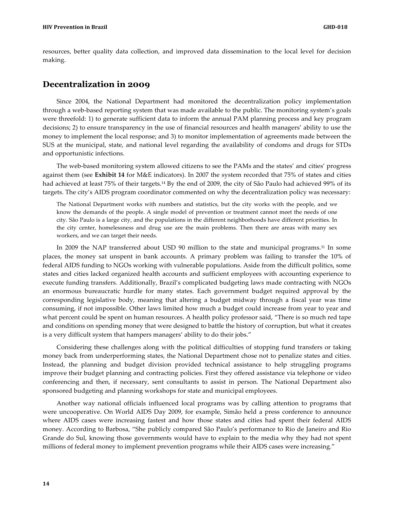resources, better quality data collection, and improved data dissemination to the local level for decision making.

### **Decentralization in 2009**

Since 2004, the National Department had monitored the decentralization policy implementation through a web-based reporting system that was made available to the public. The monitoring system's goals were threefold: 1) to generate sufficient data to inform the annual PAM planning process and key program decisions; 2) to ensure transparency in the use of financial resources and health managers' ability to use the money to implement the local response; and 3) to monitor implementation of agreements made between the SUS at the municipal, state, and national level regarding the availability of condoms and drugs for STDs and opportunistic infections.

The web-based monitoring system allowed citizens to see the PAMs and the states' and cities' progress against them (see **Exhibit 14** for M&E indicators). In 2007 the system recorded that 75% of states and cities had achieved at least 75% of their targets.14 By the end of 2009, the city of São Paulo had achieved 99% of its targets. The city's AIDS program coordinator commented on why the decentralization policy was necessary:

The National Department works with numbers and statistics, but the city works with the people, and we know the demands of the people. A single model of prevention or treatment cannot meet the needs of one city. São Paulo is a large city, and the populations in the different neighborhoods have different priorities. In the city center, homelessness and drug use are the main problems. Then there are areas with many sex workers, and we can target their needs.

In 2009 the NAP transferred about USD 90 million to the state and municipal programs.31 In some places, the money sat unspent in bank accounts. A primary problem was failing to transfer the 10% of federal AIDS funding to NGOs working with vulnerable populations. Aside from the difficult politics, some states and cities lacked organized health accounts and sufficient employees with accounting experience to execute funding transfers. Additionally, Brazil's complicated budgeting laws made contracting with NGOs an enormous bureaucratic hurdle for many states. Each government budget required approval by the corresponding legislative body, meaning that altering a budget midway through a fiscal year was time consuming, if not impossible. Other laws limited how much a budget could increase from year to year and what percent could be spent on human resources. A health policy professor said, "There is so much red tape and conditions on spending money that were designed to battle the history of corruption, but what it creates is a very difficult system that hampers managers' ability to do their jobs."

Considering these challenges along with the political difficulties of stopping fund transfers or taking money back from underperforming states, the National Department chose not to penalize states and cities. Instead, the planning and budget division provided technical assistance to help struggling programs improve their budget planning and contracting policies. First they offered assistance via telephone or video conferencing and then, if necessary, sent consultants to assist in person. The National Department also sponsored budgeting and planning workshops for state and municipal employees.

Another way national officials influenced local programs was by calling attention to programs that were uncooperative. On World AIDS Day 2009, for example, Simão held a press conference to announce where AIDS cases were increasing fastest and how those states and cities had spent their federal AIDS money. According to Barbosa, "She publicly compared São Paulo's performance to Rio de Janeiro and Rio Grande do Sul, knowing those governments would have to explain to the media why they had not spent millions of federal money to implement prevention programs while their AIDS cases were increasing."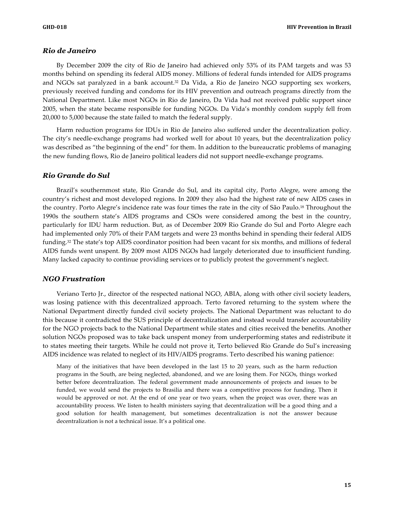#### *Rio de Janeiro*

By December 2009 the city of Rio de Janeiro had achieved only 53% of its PAM targets and was 53 months behind on spending its federal AIDS money. Millions of federal funds intended for AIDS programs and NGOs sat paralyzed in a bank account.32 Da Vida, a Rio de Janeiro NGO supporting sex workers, previously received funding and condoms for its HIV prevention and outreach programs directly from the National Department. Like most NGOs in Rio de Janeiro, Da Vida had not received public support since 2005, when the state became responsible for funding NGOs. Da Vida's monthly condom supply fell from 20,000 to 5,000 because the state failed to match the federal supply.

Harm reduction programs for IDUs in Rio de Janeiro also suffered under the decentralization policy. The city's needle-exchange programs had worked well for about 10 years, but the decentralization policy was described as "the beginning of the end" for them. In addition to the bureaucratic problems of managing the new funding flows, Rio de Janeiro political leaders did not support needle-exchange programs.

#### *Rio Grande do Sul*

Brazil's southernmost state, Rio Grande do Sul, and its capital city, Porto Alegre, were among the country's richest and most developed regions. In 2009 they also had the highest rate of new AIDS cases in the country. Porto Alegre's incidence rate was four times the rate in the city of São Paulo.18 Throughout the 1990s the southern state's AIDS programs and CSOs were considered among the best in the country, particularly for IDU harm reduction. But, as of December 2009 Rio Grande do Sul and Porto Alegre each had implemented only 70% of their PAM targets and were 23 months behind in spending their federal AIDS funding.32 The state's top AIDS coordinator position had been vacant for six months, and millions of federal AIDS funds went unspent. By 2009 most AIDS NGOs had largely deteriorated due to insufficient funding. Many lacked capacity to continue providing services or to publicly protest the government's neglect.

#### *NGO Frustration*

Veriano Terto Jr., director of the respected national NGO, ABIA, along with other civil society leaders, was losing patience with this decentralized approach. Terto favored returning to the system where the National Department directly funded civil society projects. The National Department was reluctant to do this because it contradicted the SUS principle of decentralization and instead would transfer accountability for the NGO projects back to the National Department while states and cities received the benefits. Another solution NGOs proposed was to take back unspent money from underperforming states and redistribute it to states meeting their targets. While he could not prove it, Terto believed Rio Grande do Sul's increasing AIDS incidence was related to neglect of its HIV/AIDS programs. Terto described his waning patience:

Many of the initiatives that have been developed in the last 15 to 20 years, such as the harm reduction programs in the South, are being neglected, abandoned, and we are losing them. For NGOs, things worked better before decentralization. The federal government made announcements of projects and issues to be funded, we would send the projects to Brasilia and there was a competitive process for funding. Then it would be approved or not. At the end of one year or two years, when the project was over, there was an accountability process. We listen to health ministers saying that decentralization will be a good thing and a good solution for health management, but sometimes decentralization is not the answer because decentralization is not a technical issue. It's a political one.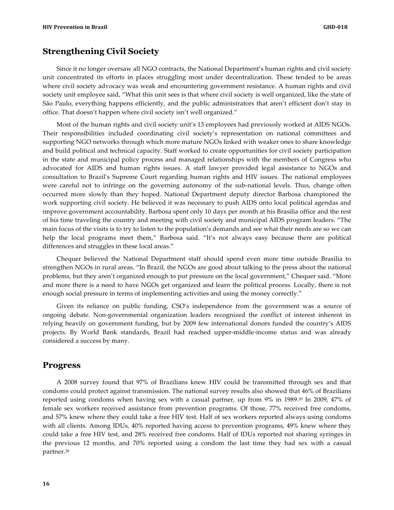### **Strengthening Civil Society**

Since it no longer oversaw all NGO contracts, the National Department's human rights and civil society unit concentrated its efforts in places struggling most under decentralization. These tended to be areas where civil society advocacy was weak and encountering government resistance. A human rights and civil society unit employee said, "What this unit sees is that where civil society is well organized, like the state of São Paulo, everything happens efficiently, and the public administrators that aren't efficient don't stay in office. That doesn't happen where civil society isn't well organized."

Most of the human rights and civil society unit's 13 employees had previously worked at AIDS NGOs. Their responsibilities included coordinating civil society's representation on national committees and supporting NGO networks through which more mature NGOs linked with weaker ones to share knowledge and build political and technical capacity. Staff worked to create opportunities for civil society participation in the state and municipal policy process and managed relationships with the members of Congress who advocated for AIDS and human rights issues. A staff lawyer provided legal assistance to NGOs and consultation to Brazil's Supreme Court regarding human rights and HIV issues. The national employees were careful not to infringe on the governing autonomy of the sub-national levels. Thus, change often occurred more slowly than they hoped. National Department deputy director Barbosa championed the work supporting civil society. He believed it was necessary to push AIDS onto local political agendas and improve government accountability. Barbosa spent only 10 days per month at his Brasilia office and the rest of his time traveling the country and meeting with civil society and municipal AIDS program leaders. "The main focus of the visits is to try to listen to the population's demands and see what their needs are so we can help the local programs meet them," Barbosa said. "It's not always easy because there are political differences and struggles in these local areas."

Chequer believed the National Department staff should spend even more time outside Brasilia to strengthen NGOs in rural areas. "In Brazil, the NGOs are good about talking to the press about the national problems, but they aren't organized enough to put pressure on the local government," Chequer said. "More and more there is a need to have NGOs get organized and learn the political process. Locally, there is not enough social pressure in terms of implementing activities and using the money correctly."

Given its reliance on public funding, CSO's independence from the government was a source of ongoing debate. Non-governmental organization leaders recognized the conflict of interest inherent in relying heavily on government funding, but by 2009 few international donors funded the country's AIDS projects. By World Bank standards, Brazil had reached upper-middle-income status and was already considered a success by many.

#### **Progress**

A 2008 survey found that 97% of Brazilians knew HIV could be transmitted through sex and that condoms could protect against transmission. The national survey results also showed that 46% of Brazilians reported using condoms when having sex with a casual partner, up from 9% in 1989.20 In 2009, 47% of female sex workers received assistance from prevention programs. Of those, 77% received free condoms, and 57% knew where they could take a free HIV test. Half of sex workers reported always using condoms with all clients. Among IDUs, 40% reported having access to prevention programs, 49% knew where they could take a free HIV test, and 28% received free condoms. Half of IDUs reported not sharing syringes in the previous 12 months, and 70% reported using a condom the last time they had sex with a casual partner.28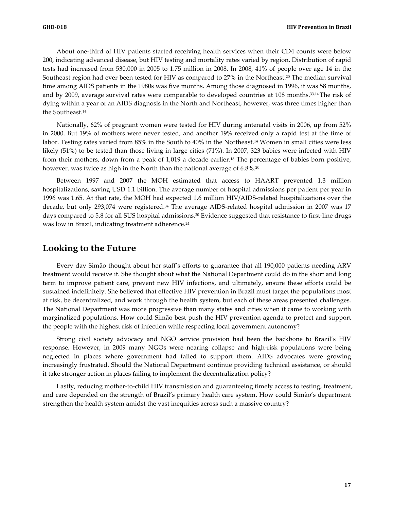About one-third of HIV patients started receiving health services when their CD4 counts were below 200, indicating advanced disease, but HIV testing and mortality rates varied by region. Distribution of rapid tests had increased from 530,000 in 2005 to 1.75 million in 2008. In 2008, 41% of people over age 14 in the Southeast region had ever been tested for HIV as compared to 27% in the Northeast.20 The median survival time among AIDS patients in the 1980s was five months. Among those diagnosed in 1996, it was 58 months, and by 2009, average survival rates were comparable to developed countries at 108 months.33,14The risk of dying within a year of an AIDS diagnosis in the North and Northeast, however, was three times higher than the Southeast.14

Nationally, 62% of pregnant women were tested for HIV during antenatal visits in 2006, up from 52% in 2000. But 19% of mothers were never tested, and another 19% received only a rapid test at the time of labor. Testing rates varied from 85% in the South to 40% in the Northeast.14 Women in small cities were less likely (51%) to be tested than those living in large cities (71%). In 2007, 323 babies were infected with HIV from their mothers, down from a peak of 1,019 a decade earlier.18 The percentage of babies born positive, however, was twice as high in the North than the national average of 6.8%.<sup>20</sup>

Between 1997 and 2007 the MOH estimated that access to HAART prevented 1.3 million hospitalizations, saving USD 1.1 billion. The average number of hospital admissions per patient per year in 1996 was 1.65. At that rate, the MOH had expected 1.6 million HIV/AIDS-related hospitalizations over the decade, but only 293,074 were registered.34 The average AIDS-related hospital admission in 2007 was 17 days compared to 5.8 for all SUS hospital admissions.20 Evidence suggested that resistance to first-line drugs was low in Brazil, indicating treatment adherence.<sup>24</sup>

#### **Looking to the Future**

Every day Simão thought about her staff's efforts to guarantee that all 190,000 patients needing ARV treatment would receive it. She thought about what the National Department could do in the short and long term to improve patient care, prevent new HIV infections, and ultimately, ensure these efforts could be sustained indefinitely. She believed that effective HIV prevention in Brazil must target the populations most at risk, be decentralized, and work through the health system, but each of these areas presented challenges. The National Department was more progressive than many states and cities when it came to working with marginalized populations. How could Simão best push the HIV prevention agenda to protect and support the people with the highest risk of infection while respecting local government autonomy?

Strong civil society advocacy and NGO service provision had been the backbone to Brazil's HIV response. However, in 2009 many NGOs were nearing collapse and high-risk populations were being neglected in places where government had failed to support them. AIDS advocates were growing increasingly frustrated. Should the National Department continue providing technical assistance, or should it take stronger action in places failing to implement the decentralization policy?

Lastly, reducing mother-to-child HIV transmission and guaranteeing timely access to testing, treatment, and care depended on the strength of Brazil's primary health care system. How could Simão's department strengthen the health system amidst the vast inequities across such a massive country?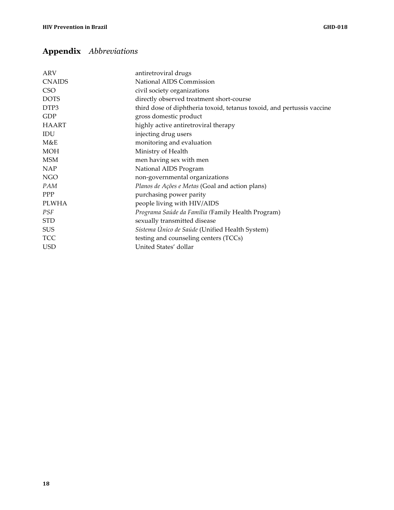## **Appendix** *Abbreviations*

| <b>ARV</b>       | antiretroviral drugs                                                   |
|------------------|------------------------------------------------------------------------|
| <b>CNAIDS</b>    | National AIDS Commission                                               |
| CSO <sub>1</sub> | civil society organizations                                            |
| <b>DOTS</b>      | directly observed treatment short-course                               |
| DTP3             | third dose of diphtheria toxoid, tetanus toxoid, and pertussis vaccine |
| GDP              | gross domestic product                                                 |
| <b>HAART</b>     | highly active antiretroviral therapy                                   |
| IDU              | injecting drug users                                                   |
| M&E              | monitoring and evaluation                                              |
| <b>MOH</b>       | Ministry of Health                                                     |
| <b>MSM</b>       | men having sex with men                                                |
| <b>NAP</b>       | National AIDS Program                                                  |
| <b>NGO</b>       | non-governmental organizations                                         |
| PAM              | Planos de Ações e Metas (Goal and action plans)                        |
| <b>PPP</b>       | purchasing power parity                                                |
| PLWHA            | people living with HIV/AIDS                                            |
| PSF              | Programa Saúde da Família (Family Health Program)                      |
| <b>STD</b>       | sexually transmitted disease                                           |
| <b>SUS</b>       | Sistema Único de Saúde (Unified Health System)                         |
| <b>TCC</b>       | testing and counseling centers (TCCs)                                  |
| <b>USD</b>       | United States' dollar                                                  |
|                  |                                                                        |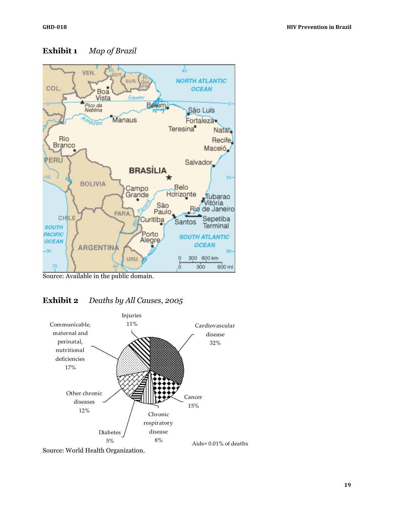

### **Exhibit 1** *Map of Brazil*

Source: Available in the public domain.

### **Exhibit 2** *Deaths by All Causes, 2005*



Source: World Health Organization.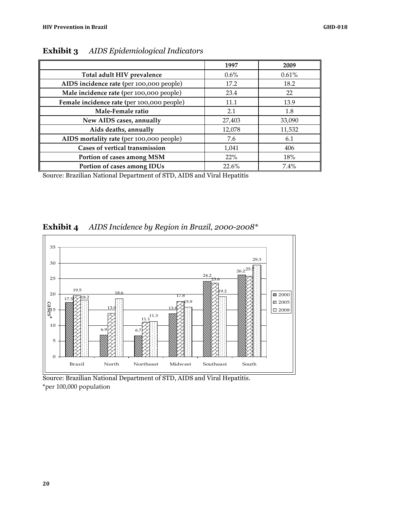|                                            | 1997    | 2009   |
|--------------------------------------------|---------|--------|
| Total adult HIV prevalence                 | $0.6\%$ | 0.61%  |
| AIDS incidence rate (per 100,000 people)   | 17.2    | 18.2   |
| Male incidence rate (per 100,000 people)   | 23.4    | 22     |
| Female incidence rate (per 100,000 people) | 11.1    | 13.9   |
| Male-Female ratio                          | 2.1     | 1.8    |
| New AIDS cases, annually                   | 27,403  | 33,090 |
| Aids deaths, annually                      | 12,078  | 11,532 |
| AIDS mortality rate (per 100,000 people)   | 7.6     | 6.1    |
| Cases of vertical transmission             | 1,041   | 406    |
| Portion of cases among MSM                 | 22%     | 18%    |
| Portion of cases among IDUs                | 22.6%   | 7.4%   |

**Exhibit 3** *AIDS Epidemiological Indicators*

Source: Brazilian National Department of STD, AIDS and Viral Hepatitis



### **Exhibit 4** *AIDS Incidence by Region in Brazil, 2000-2008\**

Source: Brazilian National Department of STD, AIDS and Viral Hepatitis.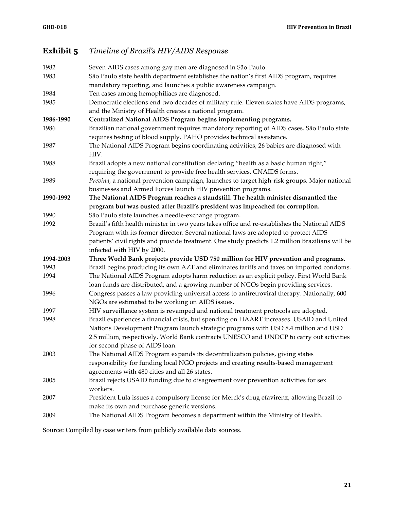### **Exhibit 5** *Timeline of Brazil's HIV/AIDS Response*

| 1982      | Seven AIDS cases among gay men are diagnosed in São Paulo.                                                                                                  |
|-----------|-------------------------------------------------------------------------------------------------------------------------------------------------------------|
| 1983      | São Paulo state health department establishes the nation's first AIDS program, requires                                                                     |
|           | mandatory reporting, and launches a public awareness campaign.                                                                                              |
| 1984      | Ten cases among hemophiliacs are diagnosed.                                                                                                                 |
| 1985      | Democratic elections end two decades of military rule. Eleven states have AIDS programs,                                                                    |
|           | and the Ministry of Health creates a national program.                                                                                                      |
| 1986-1990 | Centralized National AIDS Program begins implementing programs.                                                                                             |
| 1986      | Brazilian national government requires mandatory reporting of AIDS cases. São Paulo state                                                                   |
|           | requires testing of blood supply. PAHO provides technical assistance.                                                                                       |
| 1987      | The National AIDS Program begins coordinating activities; 26 babies are diagnosed with                                                                      |
|           | HIV.                                                                                                                                                        |
| 1988      | Brazil adopts a new national constitution declaring "health as a basic human right,"                                                                        |
|           | requiring the government to provide free health services. CNAIDS forms.                                                                                     |
| 1989      | Previna, a national prevention campaign, launches to target high-risk groups. Major national<br>businesses and Armed Forces launch HIV prevention programs. |
| 1990-1992 | The National AIDS Program reaches a standstill. The health minister dismantled the                                                                          |
|           | program but was ousted after Brazil's president was impeached for corruption.                                                                               |
| 1990      | São Paulo state launches a needle-exchange program.                                                                                                         |
| 1992      | Brazil's fifth health minister in two years takes office and re-establishes the National AIDS                                                               |
|           | Program with its former director. Several national laws are adopted to protect AIDS                                                                         |
|           | patients' civil rights and provide treatment. One study predicts 1.2 million Brazilians will be                                                             |
|           | infected with HIV by 2000.                                                                                                                                  |
| 1994-2003 | Three World Bank projects provide USD 750 million for HIV prevention and programs.                                                                          |
| 1993      | Brazil begins producing its own AZT and eliminates tariffs and taxes on imported condoms.                                                                   |
| 1994      | The National AIDS Program adopts harm reduction as an explicit policy. First World Bank                                                                     |
|           | loan funds are distributed, and a growing number of NGOs begin providing services.                                                                          |
| 1996      | Congress passes a law providing universal access to antiretroviral therapy. Nationally, 600                                                                 |
|           | NGOs are estimated to be working on AIDS issues.                                                                                                            |
| 1997      | HIV surveillance system is revamped and national treatment protocols are adopted.                                                                           |
| 1998      | Brazil experiences a financial crisis, but spending on HAART increases. USAID and United                                                                    |
|           | Nations Development Program launch strategic programs with USD 8.4 million and USD                                                                          |
|           | 2.5 million, respectively. World Bank contracts UNESCO and UNDCP to carry out activities                                                                    |
|           | for second phase of AIDS loan.                                                                                                                              |
| 2003      | The National AIDS Program expands its decentralization policies, giving states                                                                              |
|           | responsibility for funding local NGO projects and creating results-based management                                                                         |
|           | agreements with 480 cities and all 26 states.                                                                                                               |
| 2005      | Brazil rejects USAID funding due to disagreement over prevention activities for sex                                                                         |
|           | workers.                                                                                                                                                    |
| 2007      | President Lula issues a compulsory license for Merck's drug efavirenz, allowing Brazil to                                                                   |
|           | make its own and purchase generic versions.                                                                                                                 |
| 2009      | The National AIDS Program becomes a department within the Ministry of Health.                                                                               |
|           |                                                                                                                                                             |

Source: Compiled by case writers from publicly available data sources.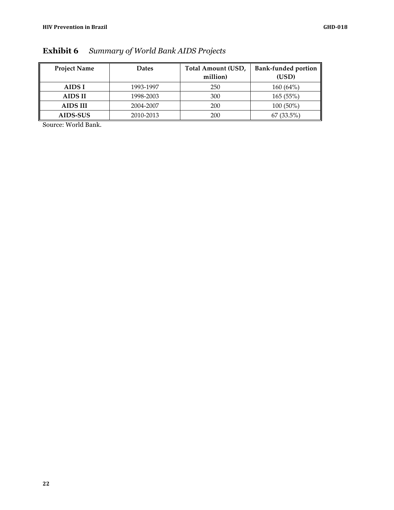| <b>Project Name</b> | <b>Dates</b> | Total Amount (USD, | <b>Bank-funded portion</b> |  |
|---------------------|--------------|--------------------|----------------------------|--|
|                     |              | million)           | (USD)                      |  |
| AIDS I              | 1993-1997    | 250                | 160 (64%)                  |  |
| <b>AIDS II</b>      | 1998-2003    | 300                | 165(55%)                   |  |
| <b>AIDS III</b>     | 2004-2007    | 200                | $100(50\%)$                |  |
| AIDS-SUS            | 2010-2013    | 200                | $67(33.5\%)$               |  |

**Exhibit 6** *Summary of World Bank AIDS Projects*

Source: World Bank.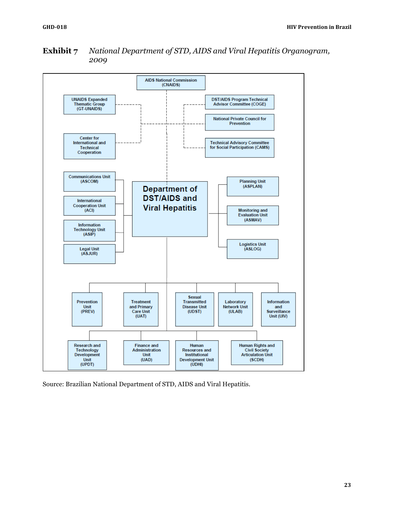

### **Exhibit 7** *National Department of STD, AIDS and Viral Hepatitis Organogram, 2009*

Source: Brazilian National Department of STD, AIDS and Viral Hepatitis.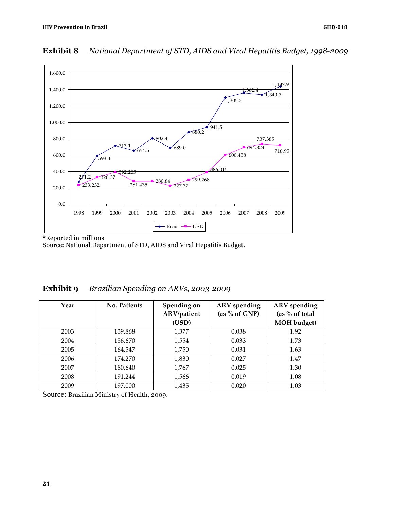

### **Exhibit 8** *National Department of STD, AIDS and Viral Hepatitis Budget, 1998-2009*

\*Reported in millions

Source: National Department of STD, AIDS and Viral Hepatitis Budget.

| Year | <b>No. Patients</b> | Spending on<br>ARV/patient<br>(USD) | <b>ARV</b> spending<br>(as % of GNP) | ARV spending<br>(as % of total)<br>MOH budget) |
|------|---------------------|-------------------------------------|--------------------------------------|------------------------------------------------|
| 2003 | 139,868             | 1,377                               | 0.038                                | 1.92                                           |
| 2004 | 156,670             | 1,554                               | 0.033                                | 1.73                                           |
| 2005 | 164,547             | 1,750                               | 0.031                                | 1.63                                           |
| 2006 | 174,270             | 1,830                               | 0.027                                | 1.47                                           |
| 2007 | 180,640             | 1,767                               | 0.025                                | 1.30                                           |
| 2008 | 191,244             | 1,566                               | 0.019                                | 1.08                                           |
| 2009 | 197,000             | 1,435                               | 0.020                                | 1.03                                           |

### **Exhibit 9** *Brazilian Spending on ARVs, 2003-2009*

Source: Brazilian Ministry of Health, 2009.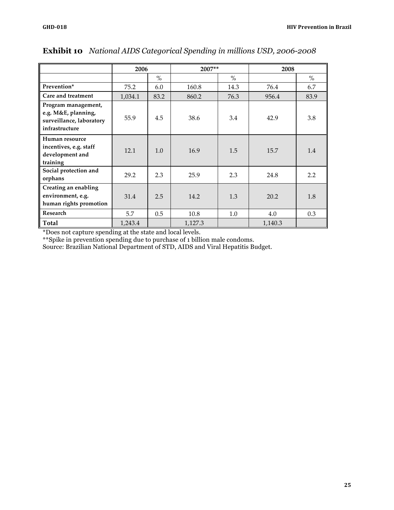|                                                                                          | 2006    |      |         | $2007**$ |         | 2008 |  |
|------------------------------------------------------------------------------------------|---------|------|---------|----------|---------|------|--|
|                                                                                          |         | $\%$ |         | $\%$     |         | $\%$ |  |
| Prevention*                                                                              | 75.2    | 6.0  | 160.8   | 14.3     | 76.4    | 6.7  |  |
| Care and treatment                                                                       | 1,034.1 | 83.2 | 860.2   | 76.3     | 956.4   | 83.9 |  |
| Program management,<br>e.g. M&E, planning,<br>surveillance, laboratory<br>infrastructure | 55.9    | 4.5  | 38.6    | 3.4      | 42.9    | 3.8  |  |
| Human resource<br>incentives, e.g. staff<br>development and<br>training                  | 12.1    | 1.0  | 16.9    | 1.5      | 15.7    | 1.4  |  |
| Social protection and<br>orphans                                                         | 29.2    | 2.3  | 25.9    | 2.3      | 24.8    | 2.2  |  |
| Creating an enabling<br>environment, e.g.<br>human rights promotion                      | 31.4    | 2.5  | 14.2    | 1.3      | 20.2    | 1.8  |  |
| Research                                                                                 | 5.7     | 0.5  | 10.8    | 1.0      | 4.0     | 0.3  |  |
| Total                                                                                    | 1,243.4 |      | 1,127.3 |          | 1,140.3 |      |  |

### **Exhibit 10** *National AIDS Categorical Spending in millions USD, 2006-2008*

\*Does not capture spending at the state and local levels.

\*\*Spike in prevention spending due to purchase of 1 billion male condoms.

Source: Brazilian National Department of STD, AIDS and Viral Hepatitis Budget.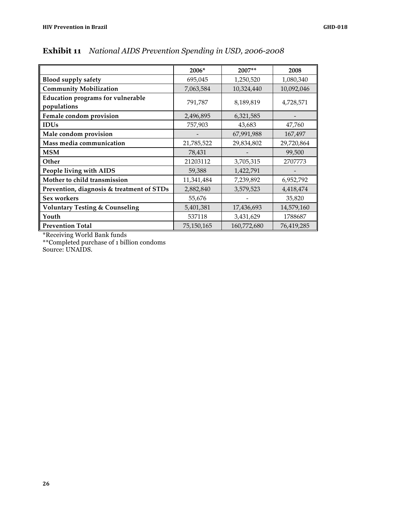|                                           | 2006*      | 2007**      | 2008       |
|-------------------------------------------|------------|-------------|------------|
| <b>Blood supply safety</b>                | 695,045    | 1,250,520   | 1,080,340  |
| <b>Community Mobilization</b>             | 7,063,584  | 10,324,440  | 10,092,046 |
| <b>Education programs for vulnerable</b>  | 791,787    | 8,189,819   | 4,728,571  |
| populations                               |            |             |            |
| Female condom provision                   | 2,496,895  | 6,321,585   |            |
| <b>IDUs</b>                               | 757,903    | 43,683      | 47,760     |
| Male condom provision                     |            | 67,991,988  | 167,497    |
| Mass media communication                  | 21,785,522 | 29,834,802  | 29,720,864 |
| <b>MSM</b>                                | 78,431     |             | 99,500     |
| Other                                     | 21203112   | 3,705,315   | 2707773    |
| People living with AIDS                   | 59,388     | 1,422,791   |            |
| Mother to child transmission              | 11,341,484 | 7,239,892   | 6,952,792  |
| Prevention, diagnosis & treatment of STDs | 2,882,840  | 3,579,523   | 4,418,474  |
| Sex workers                               | 55,676     |             | 35,820     |
| <b>Voluntary Testing &amp; Counseling</b> | 5,401,381  | 17,436,693  | 14,579,160 |
| Youth                                     | 537118     | 3,431,629   | 1788687    |
| <b>Prevention Total</b>                   | 75,150,165 | 160,772,680 | 76,419,285 |

### **Exhibit 11** *National AIDS Prevention Spending in USD, 2006-2008*

\*Receiving World Bank funds

\*\*Completed purchase of 1 billion condoms

Source: UNAIDS.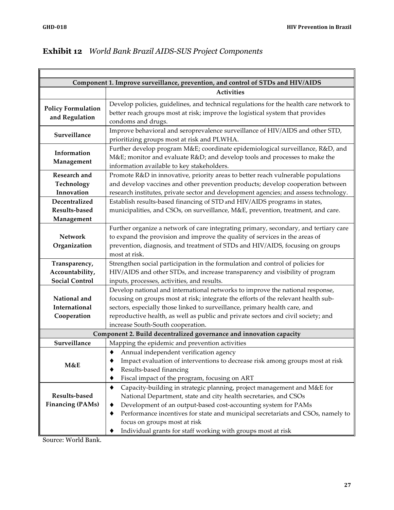7

| Component 1. Improve surveillance, prevention, and control of STDs and HIV/AIDS |                                                                                                                                                                                                                                                                                                                                                                                                                 |  |  |  |
|---------------------------------------------------------------------------------|-----------------------------------------------------------------------------------------------------------------------------------------------------------------------------------------------------------------------------------------------------------------------------------------------------------------------------------------------------------------------------------------------------------------|--|--|--|
|                                                                                 | <b>Activities</b>                                                                                                                                                                                                                                                                                                                                                                                               |  |  |  |
| <b>Policy Formulation</b><br>and Regulation                                     | Develop policies, guidelines, and technical regulations for the health care network to<br>better reach groups most at risk; improve the logistical system that provides<br>condoms and drugs.                                                                                                                                                                                                                   |  |  |  |
| Surveillance                                                                    | Improve behavioral and seroprevalence surveillance of HIV/AIDS and other STD,<br>prioritizing groups most at risk and PLWHA.                                                                                                                                                                                                                                                                                    |  |  |  |
| Information<br>Management                                                       | Further develop program M&E coordinate epidemiological surveillance, R&D, and<br>M&E monitor and evaluate R&D and develop tools and processes to make the<br>information available to key stakeholders.                                                                                                                                                                                                         |  |  |  |
| Research and<br>Technology<br>Innovation                                        | Promote R&D in innovative, priority areas to better reach vulnerable populations<br>and develop vaccines and other prevention products; develop cooperation between<br>research institutes, private sector and development agencies; and assess technology.                                                                                                                                                     |  |  |  |
| Decentralized<br>Results-based<br>Management                                    | Establish results-based financing of STD and HIV/AIDS programs in states,<br>municipalities, and CSOs, on surveillance, M&E, prevention, treatment, and care.                                                                                                                                                                                                                                                   |  |  |  |
| <b>Network</b><br>Organization                                                  | Further organize a network of care integrating primary, secondary, and tertiary care<br>to expand the provision and improve the quality of services in the areas of<br>prevention, diagnosis, and treatment of STDs and HIV/AIDS, focusing on groups<br>most at risk.                                                                                                                                           |  |  |  |
| Transparency,<br>Accountability,<br><b>Social Control</b>                       | Strengthen social participation in the formulation and control of policies for<br>HIV/AIDS and other STDs, and increase transparency and visibility of program<br>inputs, processes, activities, and results.                                                                                                                                                                                                   |  |  |  |
| National and<br>International<br>Cooperation                                    | Develop national and international networks to improve the national response,<br>focusing on groups most at risk; integrate the efforts of the relevant health sub-<br>sectors, especially those linked to surveillance, primary health care, and<br>reproductive health, as well as public and private sectors and civil society; and<br>increase South-South cooperation.                                     |  |  |  |
|                                                                                 | Component 2. Build decentralized governance and innovation capacity                                                                                                                                                                                                                                                                                                                                             |  |  |  |
| Surveillance<br>M&E                                                             | Mapping the epidemic and prevention activities<br>Annual independent verification agency<br>٠<br>Impact evaluation of interventions to decrease risk among groups most at risk<br>Results-based financing<br>Fiscal impact of the program, focusing on ART                                                                                                                                                      |  |  |  |
| Results-based<br><b>Financing (PAMs)</b>                                        | Capacity-building in strategic planning, project management and M&E for<br>٠<br>National Department, state and city health secretaries, and CSOs<br>Development of an output-based cost-accounting system for PAMs<br>٠<br>Performance incentives for state and municipal secretariats and CSOs, namely to<br>٠<br>focus on groups most at risk<br>Individual grants for staff working with groups most at risk |  |  |  |

### **Exhibit 12** *World Bank Brazil AIDS-SUS Project Components*

Source: World Bank.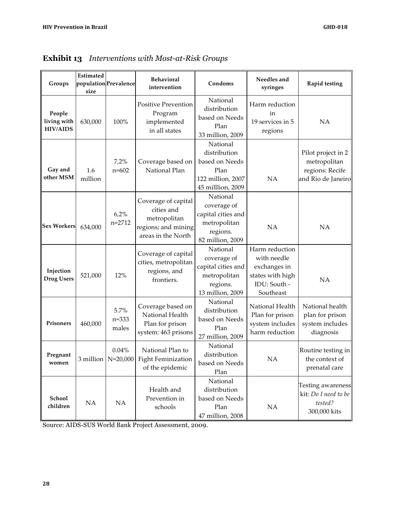| Groups                                   | Estimated<br>size | population Prevalence      | Behavioral<br>intervention                                                                     | Condoms                                                                                       | Needles and<br>syringes                                                                        | Rapid testing                                                               |
|------------------------------------------|-------------------|----------------------------|------------------------------------------------------------------------------------------------|-----------------------------------------------------------------------------------------------|------------------------------------------------------------------------------------------------|-----------------------------------------------------------------------------|
| People<br>living with<br><b>HIV/AIDS</b> | 630,000           | 100%                       | Positive Prevention<br>Program<br>implemented<br>in all states                                 | National<br>distribution<br>based on Needs<br>Plan<br>33 million, 2009                        | Harm reduction<br>in<br>19 services in 5<br>regions                                            | NA                                                                          |
| Gay and<br>other MSM                     | 1.6<br>million    | 7,2%<br>$n = 602$          | Coverage based on<br>National Plan                                                             | National<br>distribution<br>based on Needs<br>Plan<br>122 million, 2007<br>45 milllion, 2009  | NA                                                                                             | Pilot project in 2<br>metropolitan<br>regions: Recife<br>and Rio de Janeiro |
| <b>Sex Workers</b>                       | 634,000           | 6,2%<br>$n=2712$           | Coverage of capital<br>cities and<br>metropolitan<br>regions; and mining<br>areas in the North | National<br>coverage of<br>capital cities and<br>metropolitan<br>regions.<br>82 million, 2009 | <b>NA</b>                                                                                      | NA                                                                          |
| Injection<br><b>Drug Users</b>           | 521,000           | 12%                        | Coverage of capital<br>cities, metropolitan<br>regions, and<br>frontiers.                      | National<br>coverage of<br>capital cities and<br>metropolitan<br>regions.<br>13 million, 2009 | Harm reduction<br>with needle<br>exchanges in<br>states with high<br>IDU: South -<br>Southeast | <b>NA</b>                                                                   |
| Prisoners                                | 460,000           | 5.7%<br>$n = 333$<br>males | Coverage based on<br>National Health<br>Plan for prison<br>system: 463 prisons                 | National<br>distribution<br>based on Needs<br>Plan<br>27 million, 2009                        | National Health<br>Plan for prison<br>system includes<br>harm reduction                        | National health<br>plan for prison<br>system includes<br>diagnosis          |
| Pregnant<br>women                        |                   | 0.04%                      | National Plan to<br>3 million   N=20,000   Fight Feminization<br>of the epidemic               | National<br>distribution<br>based on Needs<br>Plan                                            | <b>NA</b>                                                                                      | Routine testing in<br>the context of<br>prenatal care                       |
| School<br>children                       | NA                | NA                         | Health and<br>Prevention in<br>schools                                                         | National<br>distribution<br>based on Needs<br>Plan<br>47 million, 2008                        | NA                                                                                             | <b>Testing awareness</b><br>kit: Do I need to be<br>tested?<br>300,000 kits |

## **Exhibit 13** *Interventions with Most-at-Risk Groups*

Source: AIDS-SUS World Bank Project Assessment, 2009.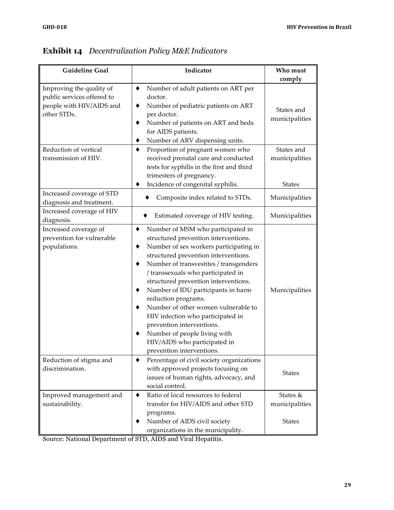| <b>Guideline Goal</b>                                                                             | Indicator                                                                                                                                                                                                                                                                                                                                                                                                                                                                                                                                                                            | Who must                     |
|---------------------------------------------------------------------------------------------------|--------------------------------------------------------------------------------------------------------------------------------------------------------------------------------------------------------------------------------------------------------------------------------------------------------------------------------------------------------------------------------------------------------------------------------------------------------------------------------------------------------------------------------------------------------------------------------------|------------------------------|
|                                                                                                   |                                                                                                                                                                                                                                                                                                                                                                                                                                                                                                                                                                                      | comply                       |
| Improving the quality of<br>public services offered to<br>people with HIV/AIDS and<br>other STDs. | Number of adult patients on ART per<br>٠<br>doctor.<br>Number of pediatric patients on ART<br>٠<br>per doctor.<br>Number of patients on ART and beds<br>٠<br>for AIDS patients.<br>Number of ARV dispensing units.<br>٠                                                                                                                                                                                                                                                                                                                                                              | States and<br>municipalities |
| Reduction of vertical<br>transmission of HIV.                                                     | Proportion of pregnant women who<br>٠<br>received prenatal care and conducted<br>tests for syphilis in the first and third<br>trimesters of pregnancy.                                                                                                                                                                                                                                                                                                                                                                                                                               | States and<br>municipalities |
|                                                                                                   | Incidence of congenital syphilis.                                                                                                                                                                                                                                                                                                                                                                                                                                                                                                                                                    | <b>States</b>                |
| Increased coverage of STD<br>diagnosis and treatment.                                             | Composite index related to STDs.                                                                                                                                                                                                                                                                                                                                                                                                                                                                                                                                                     | Municipalities               |
| Increased coverage of HIV<br>diagnosis.                                                           | Estimated coverage of HIV testing.                                                                                                                                                                                                                                                                                                                                                                                                                                                                                                                                                   | Municipalities               |
| Increased coverage of<br>prevention for vulnerable<br>populations.                                | Number of MSM who participated in<br>٠<br>structured prevention interventions.<br>Number of sex workers participating in<br>٠<br>structured prevention interventions.<br>Number of transvestites / transgenders<br>٠<br>/ transsexuals who participated in<br>structured prevention interventions.<br>Number of IDU participants in harm<br>٠<br>reduction programs.<br>Number of other women vulnerable to<br>٠<br>HIV infection who participated in<br>prevention interventions.<br>Number of people living with<br>٠<br>HIV/AIDS who participated in<br>prevention interventions. | Municipalities               |
| Reduction of stigma and<br>discrimination.                                                        | Percentage of civil society organizations<br>with approved projects focusing on<br>issues of human rights, advocacy, and<br>social control.                                                                                                                                                                                                                                                                                                                                                                                                                                          | <b>States</b>                |
| Improved management and<br>sustainability.                                                        | Ratio of local resources to federal<br>٠<br>transfer for HIV/AIDS and other STD<br>programs.                                                                                                                                                                                                                                                                                                                                                                                                                                                                                         | States &<br>municipalities   |
|                                                                                                   | Number of AIDS civil society<br>organizations in the municipality.                                                                                                                                                                                                                                                                                                                                                                                                                                                                                                                   | <b>States</b>                |

## **Exhibit 14** *Decentralization Policy M&E Indicators*

Source: National Department of STD, AIDS and Viral Hepatitis.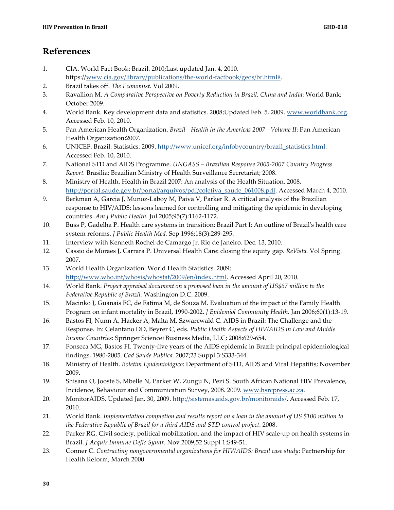- 1. CIA. World Fact Book: Brazil. 2010;Last updated Jan. 4, 2010.
	- https://www.cia.gov/library/publications/the-world-factbook/geos/br.html#.
- 2. Brazil takes off. *The Economist.* Vol 2009.
- 3. Ravallion M. *A Comparative Perspective on Poverty Reduction in Brazil, China and India*: World Bank; October 2009.
- 4. World Bank. Key development data and statistics. 2008;Updated Feb. 5, 2009. www.worldbank.org. Accessed Feb. 10, 2010.
- 5. Pan American Health Organization. *Brazil - Health in the Americas 2007 - Volume II*: Pan American Health Organization;2007.
- 6. UNICEF. Brazil: Statistics. 2009. http://www.unicef.org/infobycountry/brazil\_statistics.html. Accessed Feb. 10, 2010.
- 7. National STD and AIDS Programme. *UNGASS – Brazilian Response 2005-2007 Country Progress Report.* Brasilia: Brazilian Ministry of Health Surveillance Secretariat; 2008.
- 8. Ministry of Health. Health in Brazil 2007: An analysis of the Health Situation. 2008. http://portal.saude.gov.br/portal/arquivos/pdf/coletiva\_saude\_061008.pdf. Accessed March 4, 2010.
- 9. Berkman A, Garcia J, Munoz-Laboy M, Paiva V, Parker R. A critical analysis of the Brazilian response to HIV/AIDS: lessons learned for controlling and mitigating the epidemic in developing countries. *Am J Public Health.* Jul 2005;95(7):1162-1172.
- 10. Buss P, Gadelha P. Health care systems in transition: Brazil Part I: An outline of Brazil's health care system reforms. *J Public Health Med.* Sep 1996;18(3):289-295.
- 11. Interview with Kenneth Rochel de Camargo Jr. Rio de Janeiro. Dec. 13, 2010.
- 12. Cassio de Moraes J, Carrara P. Universal Health Care: closing the equity gap. *ReVista.* Vol Spring. 2007.
- 13. World Health Organization. World Health Statistics. 2009; http://www.who.int/whosis/whostat/2009/en/index.html. Accessed April 20, 2010.
- 14. World Bank. *Project appraisal document on a proposed loan in the amount of US\$67 million to the Federative Republic of Brazil.* Washington D.C. 2009.
- 15. Macinko J, Guanais FC, de Fatima M, de Souza M. Evaluation of the impact of the Family Health Program on infant mortality in Brazil, 1990-2002. *J Epidemiol Community Health.* Jan 2006;60(1):13-19.
- 16. Bastos FI, Nunn A, Hacker A, Malta M, Szwarcwald C. AIDS in Brazil: The Challenge and the Response. In: Celantano DD, Beyrer C, eds. *Public Health Aspects of HIV/AIDS in Low and Middle Income Countries*: Springer Science+Business Media, LLC; 2008:629-654.
- 17. Fonseca MG, Bastos FI. Twenty-five years of the AIDS epidemic in Brazil: principal epidemiological findings, 1980-2005. *Cad Saude Publica.* 2007;23 Suppl 3:S333-344.
- 18. Ministry of Health. *Boletim Epidemiológico*: Department of STD, AIDS and Viral Hepatitis; November 2009.
- 19. Shisana O, Jooste S, Mbelle N, Parker W, Zungu N, Pezi S. South African National HIV Prevalence, Incidence, Behaviour and Communication Survey, 2008. 2009. www.hsrcpress.ac.za.
- 20. MonitorAIDS. Updated Jan. 30, 2009. http://sistemas.aids.gov.br/monitoraids/. Accessed Feb. 17, 2010.
- 21. World Bank. *Implementation completion and results report on a loan in the amount of US \$100 million to the Federative Republic of Brazil for a third AIDS and STD control project.* 2008.
- 22. Parker RG. Civil society, political mobilization, and the impact of HIV scale-up on health systems in Brazil. *J Acquir Immune Defic Syndr.* Nov 2009;52 Suppl 1:S49-51.
- 23. Conner C. *Contracting nongovernmental organizations for HIV/AIDS: Brazil case study*: Partnership for Health Reform; March 2000.